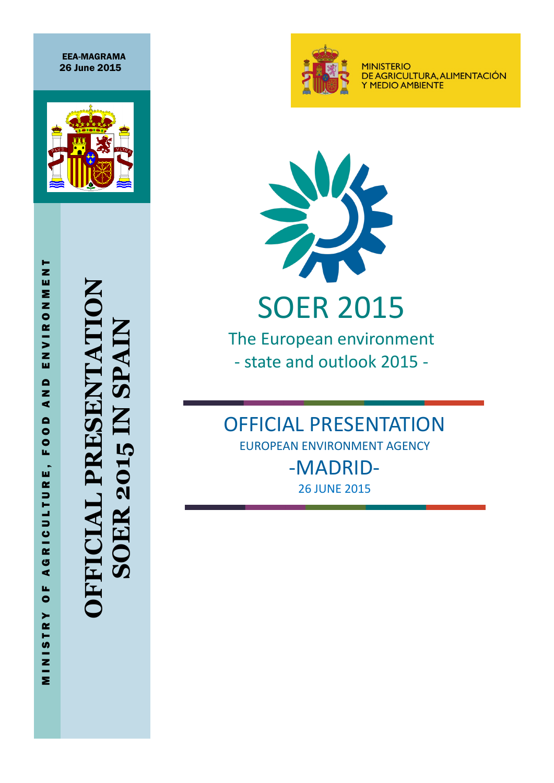EEA-MAGRAMA 26 June 2015



**OFFICIAL PRESENTATION SOER 2015 IN SPAIN SOER 2015 IN SPAIN** SENTA ud<br>Pr  $\overline{\mathbf{A}}$ 



**MINISTERIO** DE AGRICULTURA, ALIMENTACIÓN Y MEDIO AMBIENTE



The European environment - state and outlook 2015 -

OFFICIAL PRESENTATION EUROPEAN ENVIRONMENT AGENCY -MADRID-

26 JUNE 2015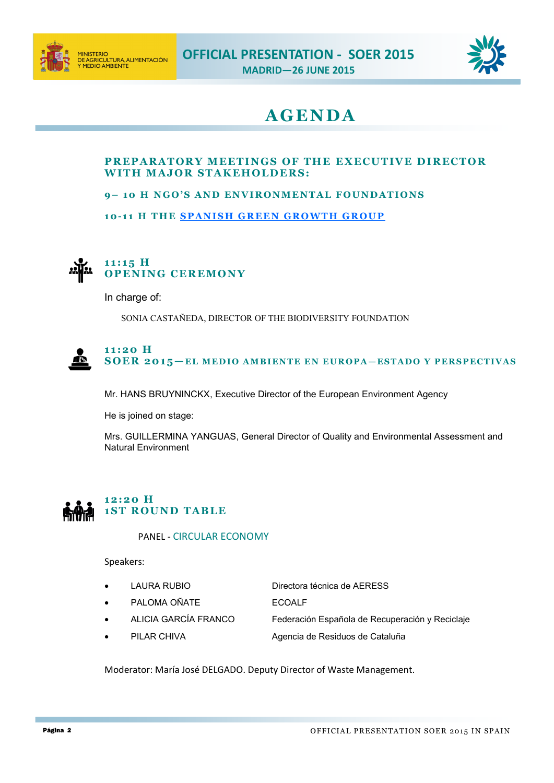



# **A GEN DA**

## **PREPARATORY MEETINGS OF THE EXECUTIVE DIRECTOR WITH MAJOR STAKEHOLDERS:**

#### **9** – **10 H NGO'S AND ENVIRONMENTAL FOUNDATIONS**

**10-11 H THE SPANISH GREEN GROWTH GROUP** 



In charge of:

SONIA CASTAÑEDA, DIRECTOR OF THE BIODIVERSITY FOUNDATION



Mr. HANS BRUYNINCKX, Executive Director of the European Environment Agency

He is joined on stage:

Mrs. GUILLERMINA YANGUAS, General Director of Quality and Environmental Assessment and Natural Environment

## **1 2:2 0 H 1ST ROUND TABLE**

#### PANEL - CIRCULAR ECONOMY

Speakers:

- LAURA RUBIO Directora técnica de AERESS
	- PALOMA OÑATE ECOALF
		-
- 

ALICIA GARCÍA FRANCO Federación Española de Recuperación y Reciclaje

PILAR CHIVA **Agencia de Residuos de Cataluña** 

Moderator: María José DELGADO. Deputy Director of Waste Management.